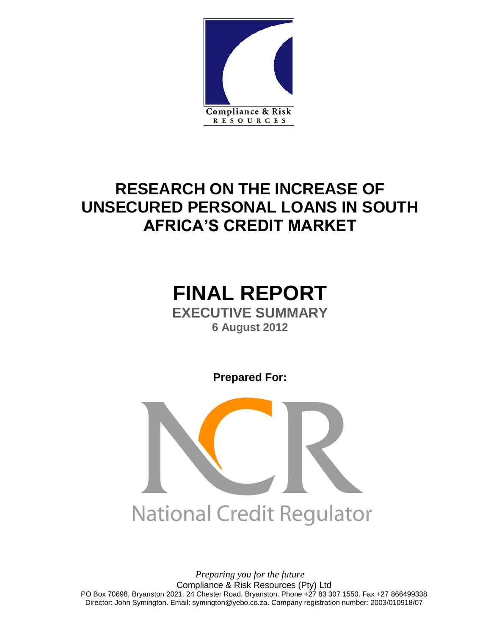

## **RESEARCH ON THE INCREASE OF UNSECURED PERSONAL LOANS IN SOUTH AFRICA'S CREDIT MARKET**

## **FINAL REPORT EXECUTIVE SUMMARY 6 August 2012**

**Prepared For:**



*Preparing you for the future* Compliance & Risk Resources (Pty) Ltd PO Box 70698, Bryanston 2021. 24 Chester Road, Bryanston. Phone +27 83 307 1550. Fax +27 866499338 Director: John Symington. Email: symington@yebo.co.za. Company registration number: 2003/010918/07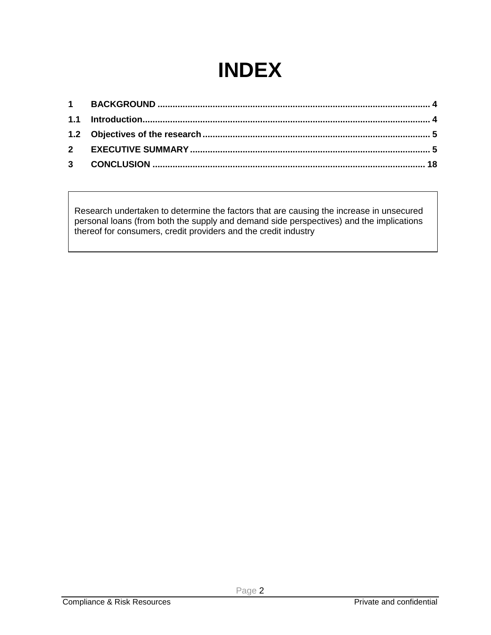# **INDEX**

Research undertaken to determine the factors that are causing the increase in unsecured personal loans (from both the supply and demand side perspectives) and the implications thereof for consumers, credit providers and the credit industry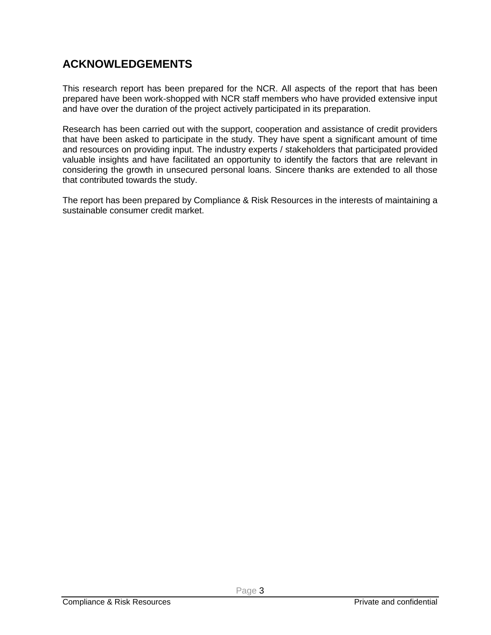### **ACKNOWLEDGEMENTS**

This research report has been prepared for the NCR. All aspects of the report that has been prepared have been work-shopped with NCR staff members who have provided extensive input and have over the duration of the project actively participated in its preparation.

Research has been carried out with the support, cooperation and assistance of credit providers that have been asked to participate in the study. They have spent a significant amount of time and resources on providing input. The industry experts / stakeholders that participated provided valuable insights and have facilitated an opportunity to identify the factors that are relevant in considering the growth in unsecured personal loans. Sincere thanks are extended to all those that contributed towards the study.

The report has been prepared by Compliance & Risk Resources in the interests of maintaining a sustainable consumer credit market.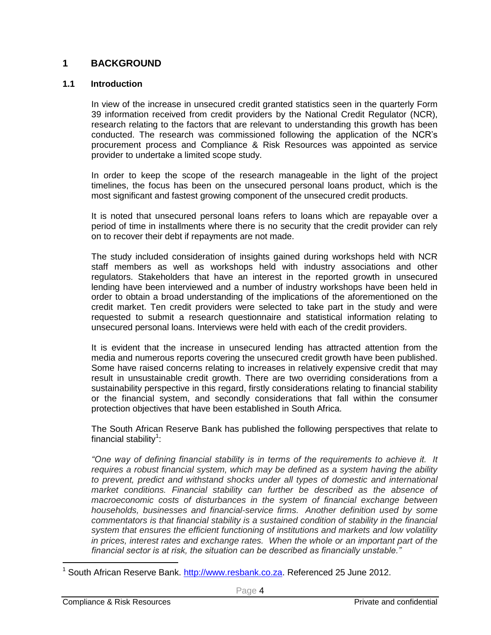#### **1 BACKGROUND**

#### **1.1 Introduction**

In view of the increase in unsecured credit granted statistics seen in the quarterly Form 39 information received from credit providers by the National Credit Regulator (NCR), research relating to the factors that are relevant to understanding this growth has been conducted. The research was commissioned following the application of the NCR's procurement process and Compliance & Risk Resources was appointed as service provider to undertake a limited scope study.

In order to keep the scope of the research manageable in the light of the project timelines, the focus has been on the unsecured personal loans product, which is the most significant and fastest growing component of the unsecured credit products.

It is noted that unsecured personal loans refers to loans which are repayable over a period of time in installments where there is no security that the credit provider can rely on to recover their debt if repayments are not made.

The study included consideration of insights gained during workshops held with NCR staff members as well as workshops held with industry associations and other regulators. Stakeholders that have an interest in the reported growth in unsecured lending have been interviewed and a number of industry workshops have been held in order to obtain a broad understanding of the implications of the aforementioned on the credit market. Ten credit providers were selected to take part in the study and were requested to submit a research questionnaire and statistical information relating to unsecured personal loans. Interviews were held with each of the credit providers.

It is evident that the increase in unsecured lending has attracted attention from the media and numerous reports covering the unsecured credit growth have been published. Some have raised concerns relating to increases in relatively expensive credit that may result in unsustainable credit growth. There are two overriding considerations from a sustainability perspective in this regard, firstly considerations relating to financial stability or the financial system, and secondly considerations that fall within the consumer protection objectives that have been established in South Africa.

The South African Reserve Bank has published the following perspectives that relate to financial stability $^1$ :

*"One way of defining financial stability is in terms of the requirements to achieve it. It requires a robust financial system, which may be defined as a system having the ability*  to prevent, predict and withstand shocks under all types of domestic and international *market conditions. Financial stability can further be described as the absence of macroeconomic costs of disturbances in the system of financial exchange between households, businesses and financial-service firms. Another definition used by some commentators is that financial stability is a sustained condition of stability in the financial system that ensures the efficient functioning of institutions and markets and low volatility in prices, interest rates and exchange rates. When the whole or an important part of the financial sector is at risk, the situation can be described as financially unstable."*

 $\overline{a}$ 

<sup>&</sup>lt;sup>1</sup> South African Reserve Bank. [http://www.resbank.co.za.](http://www.resbank.co.za/) Referenced 25 June 2012.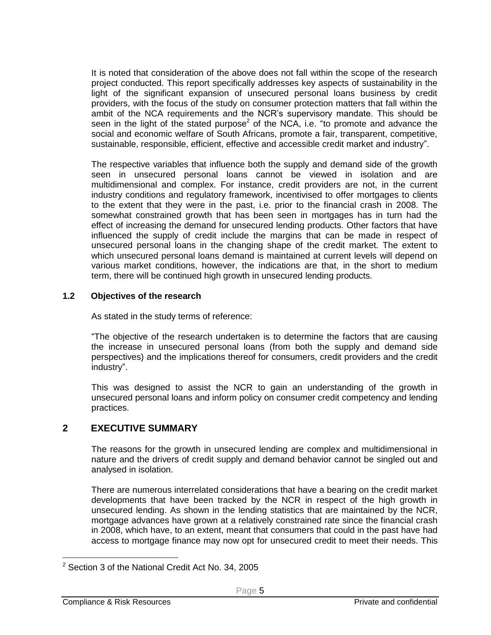It is noted that consideration of the above does not fall within the scope of the research project conducted. This report specifically addresses key aspects of sustainability in the light of the significant expansion of unsecured personal loans business by credit providers, with the focus of the study on consumer protection matters that fall within the ambit of the NCA requirements and the NCR's supervisory mandate. This should be seen in the light of the stated purpose<sup>2</sup> of the NCA, i.e. "to promote and advance the social and economic welfare of South Africans, promote a fair, transparent, competitive, sustainable, responsible, efficient, effective and accessible credit market and industry".

The respective variables that influence both the supply and demand side of the growth seen in unsecured personal loans cannot be viewed in isolation and are multidimensional and complex. For instance, credit providers are not, in the current industry conditions and regulatory framework, incentivised to offer mortgages to clients to the extent that they were in the past, i.e. prior to the financial crash in 2008. The somewhat constrained growth that has been seen in mortgages has in turn had the effect of increasing the demand for unsecured lending products. Other factors that have influenced the supply of credit include the margins that can be made in respect of unsecured personal loans in the changing shape of the credit market. The extent to which unsecured personal loans demand is maintained at current levels will depend on various market conditions, however, the indications are that, in the short to medium term, there will be continued high growth in unsecured lending products.

#### **1.2 Objectives of the research**

As stated in the study terms of reference:

"The objective of the research undertaken is to determine the factors that are causing the increase in unsecured personal loans (from both the supply and demand side perspectives) and the implications thereof for consumers, credit providers and the credit industry".

This was designed to assist the NCR to gain an understanding of the growth in unsecured personal loans and inform policy on consumer credit competency and lending practices.

#### **2 EXECUTIVE SUMMARY**

The reasons for the growth in unsecured lending are complex and multidimensional in nature and the drivers of credit supply and demand behavior cannot be singled out and analysed in isolation.

There are numerous interrelated considerations that have a bearing on the credit market developments that have been tracked by the NCR in respect of the high growth in unsecured lending. As shown in the lending statistics that are maintained by the NCR, mortgage advances have grown at a relatively constrained rate since the financial crash in 2008, which have, to an extent, meant that consumers that could in the past have had access to mortgage finance may now opt for unsecured credit to meet their needs. This

 $\overline{a}$ 

<sup>&</sup>lt;sup>2</sup> Section 3 of the National Credit Act No. 34, 2005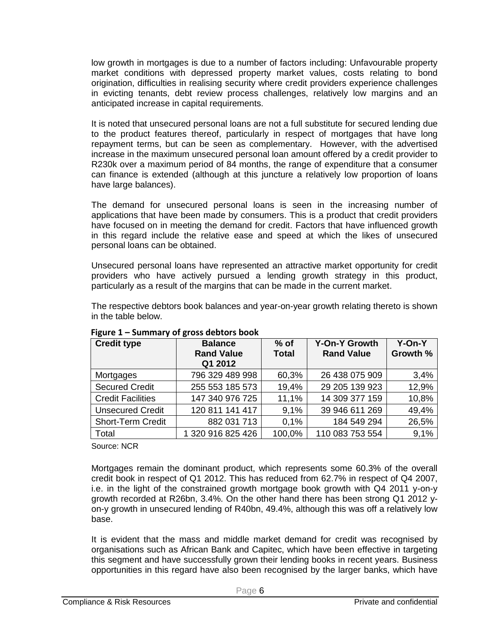low growth in mortgages is due to a number of factors including: Unfavourable property market conditions with depressed property market values, costs relating to bond origination, difficulties in realising security where credit providers experience challenges in evicting tenants, debt review process challenges, relatively low margins and an anticipated increase in capital requirements.

It is noted that unsecured personal loans are not a full substitute for secured lending due to the product features thereof, particularly in respect of mortgages that have long repayment terms, but can be seen as complementary. However, with the advertised increase in the maximum unsecured personal loan amount offered by a credit provider to R230k over a maximum period of 84 months, the range of expenditure that a consumer can finance is extended (although at this juncture a relatively low proportion of loans have large balances).

The demand for unsecured personal loans is seen in the increasing number of applications that have been made by consumers. This is a product that credit providers have focused on in meeting the demand for credit. Factors that have influenced growth in this regard include the relative ease and speed at which the likes of unsecured personal loans can be obtained.

Unsecured personal loans have represented an attractive market opportunity for credit providers who have actively pursued a lending growth strategy in this product, particularly as a result of the margins that can be made in the current market.

The respective debtors book balances and year-on-year growth relating thereto is shown in the table below.

| <b>Credit type</b>       | <b>Balance</b><br><b>Rand Value</b><br>Q1 2012 | $%$ of<br><b>Total</b> | <b>Y-On-Y Growth</b><br><b>Rand Value</b> | Y-On-Y<br>Growth % |
|--------------------------|------------------------------------------------|------------------------|-------------------------------------------|--------------------|
| Mortgages                | 796 329 489 998                                | 60,3%                  | 26 438 075 909                            | 3,4%               |
| <b>Secured Credit</b>    | 255 553 185 573                                | 19,4%                  | 29 205 139 923                            | 12,9%              |
| <b>Credit Facilities</b> | 147 340 976 725                                | 11,1%                  | 14 309 377 159                            | 10,8%              |
| <b>Unsecured Credit</b>  | 120 811 141 417                                | 9.1%                   | 39 946 611 269                            | 49,4%              |
| <b>Short-Term Credit</b> | 882 031 713                                    | 0.1%                   | 184 549 294                               | 26,5%              |
| Total                    | 1 320 916 825 426                              | 100,0%                 | 110 083 753 554                           | 9,1%               |

**Figure 1 – Summary of gross debtors book**

Source: NCR

Mortgages remain the dominant product, which represents some 60.3% of the overall credit book in respect of Q1 2012. This has reduced from 62.7% in respect of Q4 2007, i.e. in the light of the constrained growth mortgage book growth with Q4 2011 y-on-y growth recorded at R26bn, 3.4%. On the other hand there has been strong Q1 2012 yon-y growth in unsecured lending of R40bn, 49.4%, although this was off a relatively low base.

It is evident that the mass and middle market demand for credit was recognised by organisations such as African Bank and Capitec, which have been effective in targeting this segment and have successfully grown their lending books in recent years. Business opportunities in this regard have also been recognised by the larger banks, which have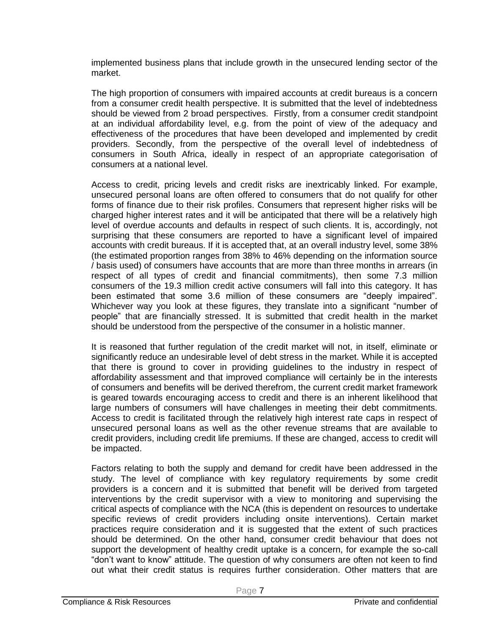implemented business plans that include growth in the unsecured lending sector of the market.

The high proportion of consumers with impaired accounts at credit bureaus is a concern from a consumer credit health perspective. It is submitted that the level of indebtedness should be viewed from 2 broad perspectives. Firstly, from a consumer credit standpoint at an individual affordability level, e.g. from the point of view of the adequacy and effectiveness of the procedures that have been developed and implemented by credit providers. Secondly, from the perspective of the overall level of indebtedness of consumers in South Africa, ideally in respect of an appropriate categorisation of consumers at a national level.

Access to credit, pricing levels and credit risks are inextricably linked. For example, unsecured personal loans are often offered to consumers that do not qualify for other forms of finance due to their risk profiles. Consumers that represent higher risks will be charged higher interest rates and it will be anticipated that there will be a relatively high level of overdue accounts and defaults in respect of such clients. It is, accordingly, not surprising that these consumers are reported to have a significant level of impaired accounts with credit bureaus. If it is accepted that, at an overall industry level, some 38% (the estimated proportion ranges from 38% to 46% depending on the information source / basis used) of consumers have accounts that are more than three months in arrears (in respect of all types of credit and financial commitments), then some 7.3 million consumers of the 19.3 million credit active consumers will fall into this category. It has been estimated that some 3.6 million of these consumers are "deeply impaired". Whichever way you look at these figures, they translate into a significant "number of people" that are financially stressed. It is submitted that credit health in the market should be understood from the perspective of the consumer in a holistic manner.

It is reasoned that further regulation of the credit market will not, in itself, eliminate or significantly reduce an undesirable level of debt stress in the market. While it is accepted that there is ground to cover in providing guidelines to the industry in respect of affordability assessment and that improved compliance will certainly be in the interests of consumers and benefits will be derived therefrom, the current credit market framework is geared towards encouraging access to credit and there is an inherent likelihood that large numbers of consumers will have challenges in meeting their debt commitments. Access to credit is facilitated through the relatively high interest rate caps in respect of unsecured personal loans as well as the other revenue streams that are available to credit providers, including credit life premiums. If these are changed, access to credit will be impacted.

Factors relating to both the supply and demand for credit have been addressed in the study. The level of compliance with key regulatory requirements by some credit providers is a concern and it is submitted that benefit will be derived from targeted interventions by the credit supervisor with a view to monitoring and supervising the critical aspects of compliance with the NCA (this is dependent on resources to undertake specific reviews of credit providers including onsite interventions). Certain market practices require consideration and it is suggested that the extent of such practices should be determined. On the other hand, consumer credit behaviour that does not support the development of healthy credit uptake is a concern, for example the so-call "don't want to know" attitude. The question of why consumers are often not keen to find out what their credit status is requires further consideration. Other matters that are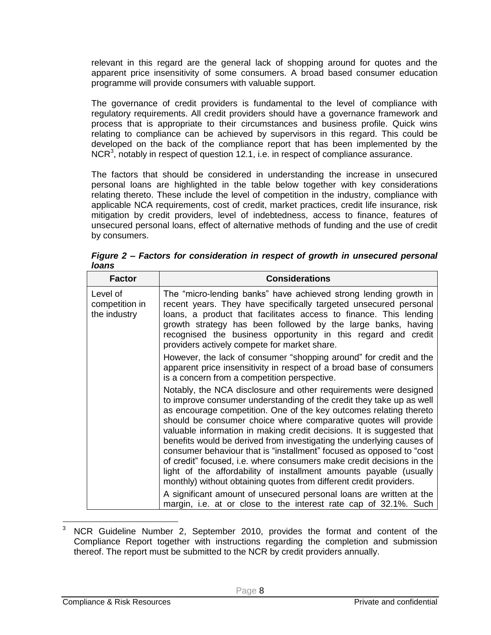relevant in this regard are the general lack of shopping around for quotes and the apparent price insensitivity of some consumers. A broad based consumer education programme will provide consumers with valuable support.

The governance of credit providers is fundamental to the level of compliance with regulatory requirements. All credit providers should have a governance framework and process that is appropriate to their circumstances and business profile. Quick wins relating to compliance can be achieved by supervisors in this regard. This could be developed on the back of the compliance report that has been implemented by the NCR<sup>3</sup>, notably in respect of question 12.1, i.e. in respect of compliance assurance.

The factors that should be considered in understanding the increase in unsecured personal loans are highlighted in the table below together with key considerations relating thereto. These include the level of competition in the industry, compliance with applicable NCA requirements, cost of credit, market practices, credit life insurance, risk mitigation by credit providers, level of indebtedness, access to finance, features of unsecured personal loans, effect of alternative methods of funding and the use of credit by consumers.

| <b>Factor</b>                              | <b>Considerations</b>                                                                                                                                                                                                                                                                                                                                                                                                                                                                                                                                                                                                                                                                                                                                                                                                                                                       |
|--------------------------------------------|-----------------------------------------------------------------------------------------------------------------------------------------------------------------------------------------------------------------------------------------------------------------------------------------------------------------------------------------------------------------------------------------------------------------------------------------------------------------------------------------------------------------------------------------------------------------------------------------------------------------------------------------------------------------------------------------------------------------------------------------------------------------------------------------------------------------------------------------------------------------------------|
| Level of<br>competition in<br>the industry | The "micro-lending banks" have achieved strong lending growth in<br>recent years. They have specifically targeted unsecured personal<br>loans, a product that facilitates access to finance. This lending<br>growth strategy has been followed by the large banks, having<br>recognised the business opportunity in this regard and credit<br>providers actively compete for market share.                                                                                                                                                                                                                                                                                                                                                                                                                                                                                  |
|                                            | However, the lack of consumer "shopping around" for credit and the<br>apparent price insensitivity in respect of a broad base of consumers<br>is a concern from a competition perspective.                                                                                                                                                                                                                                                                                                                                                                                                                                                                                                                                                                                                                                                                                  |
|                                            | Notably, the NCA disclosure and other requirements were designed<br>to improve consumer understanding of the credit they take up as well<br>as encourage competition. One of the key outcomes relating thereto<br>should be consumer choice where comparative quotes will provide<br>valuable information in making credit decisions. It is suggested that<br>benefits would be derived from investigating the underlying causes of<br>consumer behaviour that is "installment" focused as opposed to "cost<br>of credit" focused, i.e. where consumers make credit decisions in the<br>light of the affordability of installment amounts payable (usually<br>monthly) without obtaining quotes from different credit providers.<br>A significant amount of unsecured personal loans are written at the<br>margin, i.e. at or close to the interest rate cap of 32.1%. Such |

*Figure 2 – Factors for consideration in respect of growth in unsecured personal loans*

 $\mathbf{3}$ NCR Guideline Number 2, September 2010, provides the format and content of the Compliance Report together with instructions regarding the completion and submission thereof. The report must be submitted to the NCR by credit providers annually.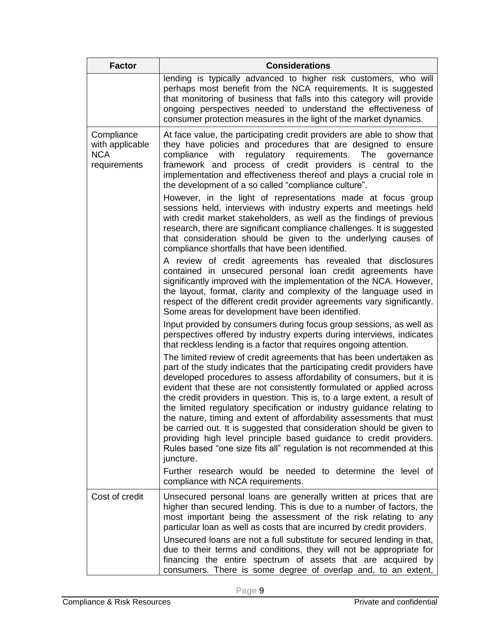| <b>Factor</b>                                               | <b>Considerations</b>                                                                                                                                                                                                                                                                                                                                                                                                                                                                                                                                                                                                                                                                                                                                              |
|-------------------------------------------------------------|--------------------------------------------------------------------------------------------------------------------------------------------------------------------------------------------------------------------------------------------------------------------------------------------------------------------------------------------------------------------------------------------------------------------------------------------------------------------------------------------------------------------------------------------------------------------------------------------------------------------------------------------------------------------------------------------------------------------------------------------------------------------|
|                                                             | lending is typically advanced to higher risk customers, who will<br>perhaps most benefit from the NCA requirements. It is suggested<br>that monitoring of business that falls into this category will provide<br>ongoing perspectives needed to understand the effectiveness of<br>consumer protection measures in the light of the market dynamics.                                                                                                                                                                                                                                                                                                                                                                                                               |
| Compliance<br>with applicable<br><b>NCA</b><br>requirements | At face value, the participating credit providers are able to show that<br>they have policies and procedures that are designed to ensure<br>regulatory requirements.<br>compliance<br>with<br>The<br>governance<br>framework and process of credit providers is central to the<br>implementation and effectiveness thereof and plays a crucial role in<br>the development of a so called "compliance culture".                                                                                                                                                                                                                                                                                                                                                     |
|                                                             | However, in the light of representations made at focus group<br>sessions held, interviews with industry experts and meetings held<br>with credit market stakeholders, as well as the findings of previous<br>research, there are significant compliance challenges. It is suggested<br>that consideration should be given to the underlying causes of<br>compliance shortfalls that have been identified.                                                                                                                                                                                                                                                                                                                                                          |
|                                                             | A review of credit agreements has revealed that disclosures<br>contained in unsecured personal loan credit agreements have<br>significantly improved with the implementation of the NCA. However,<br>the layout, format, clarity and complexity of the language used in<br>respect of the different credit provider agreements vary significantly.<br>Some areas for development have been identified.                                                                                                                                                                                                                                                                                                                                                             |
|                                                             | Input provided by consumers during focus group sessions, as well as<br>perspectives offered by industry experts during interviews, indicates<br>that reckless lending is a factor that requires ongoing attention.                                                                                                                                                                                                                                                                                                                                                                                                                                                                                                                                                 |
|                                                             | The limited review of credit agreements that has been undertaken as<br>part of the study indicates that the participating credit providers have<br>developed procedures to assess affordability of consumers, but it is<br>evident that these are not consistently formulated or applied across<br>the credit providers in question. This is, to a large extent, a result of<br>the limited regulatory specification or industry guidance relating to<br>the nature, timing and extent of affordability assessments that must<br>be carried out. It is suggested that consideration should be given to<br>providing high level principle based guidance to credit providers.<br>Rules based "one size fits all" regulation is not recommended at this<br>juncture. |
|                                                             | Further research would be needed to determine the level of<br>compliance with NCA requirements.                                                                                                                                                                                                                                                                                                                                                                                                                                                                                                                                                                                                                                                                    |
| Cost of credit                                              | Unsecured personal loans are generally written at prices that are<br>higher than secured lending. This is due to a number of factors, the<br>most important being the assessment of the risk relating to any<br>particular loan as well as costs that are incurred by credit providers.<br>Unsecured loans are not a full substitute for secured lending in that,<br>due to their terms and conditions, they will not be appropriate for<br>financing the entire spectrum of assets that are acquired by<br>consumers. There is some degree of overlap and, to an extent,                                                                                                                                                                                          |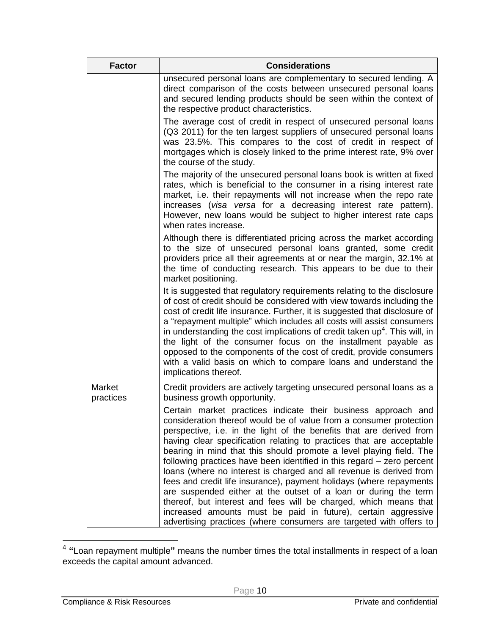| <b>Factor</b>       | <b>Considerations</b>                                                                                                                                                                                                                                                                                                                                                                                                                                                                                                                                                                                                                                                                                                                                                                                                                                            |
|---------------------|------------------------------------------------------------------------------------------------------------------------------------------------------------------------------------------------------------------------------------------------------------------------------------------------------------------------------------------------------------------------------------------------------------------------------------------------------------------------------------------------------------------------------------------------------------------------------------------------------------------------------------------------------------------------------------------------------------------------------------------------------------------------------------------------------------------------------------------------------------------|
|                     | unsecured personal loans are complementary to secured lending. A<br>direct comparison of the costs between unsecured personal loans<br>and secured lending products should be seen within the context of<br>the respective product characteristics.                                                                                                                                                                                                                                                                                                                                                                                                                                                                                                                                                                                                              |
|                     | The average cost of credit in respect of unsecured personal loans<br>(Q3 2011) for the ten largest suppliers of unsecured personal loans<br>was 23.5%. This compares to the cost of credit in respect of<br>mortgages which is closely linked to the prime interest rate, 9% over<br>the course of the study.                                                                                                                                                                                                                                                                                                                                                                                                                                                                                                                                                    |
|                     | The majority of the unsecured personal loans book is written at fixed<br>rates, which is beneficial to the consumer in a rising interest rate<br>market, i.e. their repayments will not increase when the repo rate<br>increases (visa versa for a decreasing interest rate pattern).<br>However, new loans would be subject to higher interest rate caps<br>when rates increase.                                                                                                                                                                                                                                                                                                                                                                                                                                                                                |
|                     | Although there is differentiated pricing across the market according<br>to the size of unsecured personal loans granted, some credit<br>providers price all their agreements at or near the margin, 32.1% at<br>the time of conducting research. This appears to be due to their<br>market positioning.                                                                                                                                                                                                                                                                                                                                                                                                                                                                                                                                                          |
|                     | It is suggested that regulatory requirements relating to the disclosure<br>of cost of credit should be considered with view towards including the<br>cost of credit life insurance. Further, it is suggested that disclosure of<br>a "repayment multiple" which includes all costs will assist consumers<br>in understanding the cost implications of credit taken $up4$ . This will, in<br>the light of the consumer focus on the installment payable as<br>opposed to the components of the cost of credit, provide consumers<br>with a valid basis on which to compare loans and understand the<br>implications thereof.                                                                                                                                                                                                                                      |
| Market<br>practices | Credit providers are actively targeting unsecured personal loans as a<br>business growth opportunity.                                                                                                                                                                                                                                                                                                                                                                                                                                                                                                                                                                                                                                                                                                                                                            |
|                     | Certain market practices indicate their business approach and<br>consideration thereof would be of value from a consumer protection<br>perspective, i.e. in the light of the benefits that are derived from<br>having clear specification relating to practices that are acceptable<br>bearing in mind that this should promote a level playing field. The<br>following practices have been identified in this regard - zero percent<br>loans (where no interest is charged and all revenue is derived from<br>fees and credit life insurance), payment holidays (where repayments<br>are suspended either at the outset of a loan or during the term<br>thereof, but interest and fees will be charged, which means that<br>increased amounts must be paid in future), certain aggressive<br>advertising practices (where consumers are targeted with offers to |

 4 **"**Loan repayment multiple**"** means the number times the total installments in respect of a loan exceeds the capital amount advanced.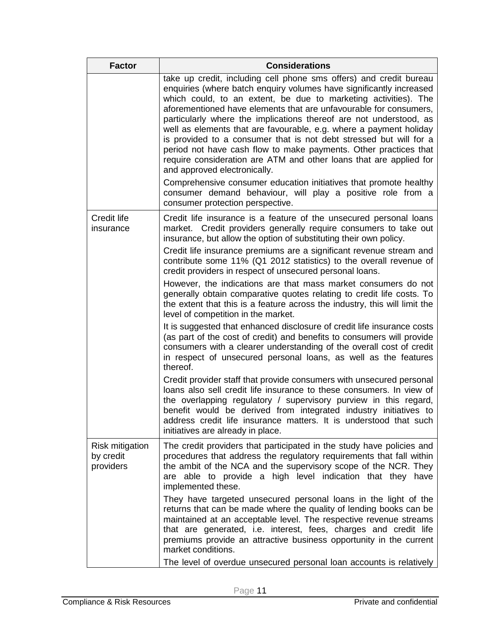| <b>Factor</b>                                    | <b>Considerations</b>                                                                                                                                                                                                                                                                                                                                                                                                                                                                                                                                                                                                                                                                                                                                                                                                                                 |
|--------------------------------------------------|-------------------------------------------------------------------------------------------------------------------------------------------------------------------------------------------------------------------------------------------------------------------------------------------------------------------------------------------------------------------------------------------------------------------------------------------------------------------------------------------------------------------------------------------------------------------------------------------------------------------------------------------------------------------------------------------------------------------------------------------------------------------------------------------------------------------------------------------------------|
|                                                  | take up credit, including cell phone sms offers) and credit bureau<br>enquiries (where batch enquiry volumes have significantly increased<br>which could, to an extent, be due to marketing activities). The<br>aforementioned have elements that are unfavourable for consumers,<br>particularly where the implications thereof are not understood, as<br>well as elements that are favourable, e.g. where a payment holiday<br>is provided to a consumer that is not debt stressed but will for a<br>period not have cash flow to make payments. Other practices that<br>require consideration are ATM and other loans that are applied for<br>and approved electronically.<br>Comprehensive consumer education initiatives that promote healthy<br>consumer demand behaviour, will play a positive role from a<br>consumer protection perspective. |
| Credit life<br>insurance                         | Credit life insurance is a feature of the unsecured personal loans<br>market. Credit providers generally require consumers to take out<br>insurance, but allow the option of substituting their own policy.                                                                                                                                                                                                                                                                                                                                                                                                                                                                                                                                                                                                                                           |
|                                                  | Credit life insurance premiums are a significant revenue stream and<br>contribute some 11% (Q1 2012 statistics) to the overall revenue of<br>credit providers in respect of unsecured personal loans.                                                                                                                                                                                                                                                                                                                                                                                                                                                                                                                                                                                                                                                 |
|                                                  | However, the indications are that mass market consumers do not<br>generally obtain comparative quotes relating to credit life costs. To<br>the extent that this is a feature across the industry, this will limit the<br>level of competition in the market.                                                                                                                                                                                                                                                                                                                                                                                                                                                                                                                                                                                          |
|                                                  | It is suggested that enhanced disclosure of credit life insurance costs<br>(as part of the cost of credit) and benefits to consumers will provide<br>consumers with a clearer understanding of the overall cost of credit<br>in respect of unsecured personal loans, as well as the features<br>thereof.                                                                                                                                                                                                                                                                                                                                                                                                                                                                                                                                              |
|                                                  | Credit provider staff that provide consumers with unsecured personal<br>loans also sell credit life insurance to these consumers. In view of<br>the overlapping regulatory / supervisory purview in this regard,<br>benefit would be derived from integrated industry initiatives to<br>address credit life insurance matters. It is understood that such<br>initiatives are already in place.                                                                                                                                                                                                                                                                                                                                                                                                                                                        |
| <b>Risk mitigation</b><br>by credit<br>providers | The credit providers that participated in the study have policies and<br>procedures that address the regulatory requirements that fall within<br>the ambit of the NCA and the supervisory scope of the NCR. They<br>are able to provide a high level indication that they have<br>implemented these.                                                                                                                                                                                                                                                                                                                                                                                                                                                                                                                                                  |
|                                                  | They have targeted unsecured personal loans in the light of the<br>returns that can be made where the quality of lending books can be<br>maintained at an acceptable level. The respective revenue streams<br>that are generated, i.e. interest, fees, charges and credit life<br>premiums provide an attractive business opportunity in the current<br>market conditions.                                                                                                                                                                                                                                                                                                                                                                                                                                                                            |
|                                                  | The level of overdue unsecured personal loan accounts is relatively                                                                                                                                                                                                                                                                                                                                                                                                                                                                                                                                                                                                                                                                                                                                                                                   |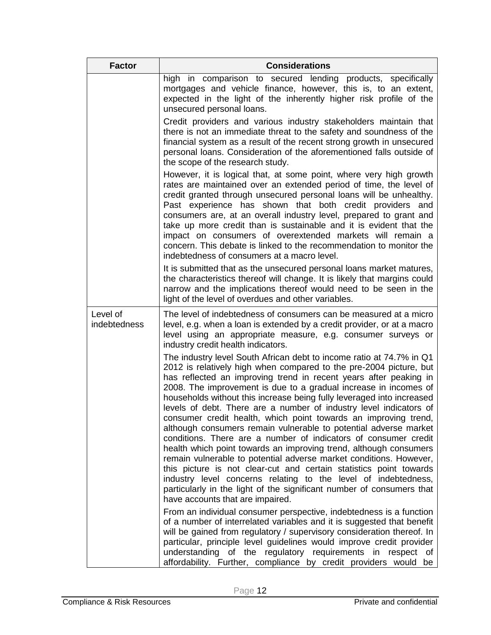| <b>Factor</b>                   | <b>Considerations</b>                                                                                                                                                                                                                                                                                                                                                                                                                                                                                                                                                                                                                                                                                                                                                                                                                                                                                                                                                                                                                        |
|---------------------------------|----------------------------------------------------------------------------------------------------------------------------------------------------------------------------------------------------------------------------------------------------------------------------------------------------------------------------------------------------------------------------------------------------------------------------------------------------------------------------------------------------------------------------------------------------------------------------------------------------------------------------------------------------------------------------------------------------------------------------------------------------------------------------------------------------------------------------------------------------------------------------------------------------------------------------------------------------------------------------------------------------------------------------------------------|
|                                 | high in comparison to secured lending products, specifically<br>mortgages and vehicle finance, however, this is, to an extent,<br>expected in the light of the inherently higher risk profile of the<br>unsecured personal loans.                                                                                                                                                                                                                                                                                                                                                                                                                                                                                                                                                                                                                                                                                                                                                                                                            |
|                                 | Credit providers and various industry stakeholders maintain that<br>there is not an immediate threat to the safety and soundness of the<br>financial system as a result of the recent strong growth in unsecured<br>personal loans. Consideration of the aforementioned falls outside of<br>the scope of the research study.                                                                                                                                                                                                                                                                                                                                                                                                                                                                                                                                                                                                                                                                                                                 |
|                                 | However, it is logical that, at some point, where very high growth<br>rates are maintained over an extended period of time, the level of<br>credit granted through unsecured personal loans will be unhealthy.<br>Past experience has shown that both credit providers and<br>consumers are, at an overall industry level, prepared to grant and<br>take up more credit than is sustainable and it is evident that the<br>impact on consumers of overextended markets will remain a<br>concern. This debate is linked to the recommendation to monitor the<br>indebtedness of consumers at a macro level.                                                                                                                                                                                                                                                                                                                                                                                                                                    |
|                                 | It is submitted that as the unsecured personal loans market matures,<br>the characteristics thereof will change. It is likely that margins could<br>narrow and the implications thereof would need to be seen in the<br>light of the level of overdues and other variables.                                                                                                                                                                                                                                                                                                                                                                                                                                                                                                                                                                                                                                                                                                                                                                  |
| Level of<br><i>indebtedness</i> | The level of indebtedness of consumers can be measured at a micro<br>level, e.g. when a loan is extended by a credit provider, or at a macro<br>level using an appropriate measure, e.g. consumer surveys or<br>industry credit health indicators.                                                                                                                                                                                                                                                                                                                                                                                                                                                                                                                                                                                                                                                                                                                                                                                           |
|                                 | The industry level South African debt to income ratio at 74.7% in Q1<br>2012 is relatively high when compared to the pre-2004 picture, but<br>has reflected an improving trend in recent years after peaking in<br>2008. The improvement is due to a gradual increase in incomes of<br>households without this increase being fully leveraged into increased<br>levels of debt. There are a number of industry level indicators of<br>consumer credit health, which point towards an improving trend,<br>although consumers remain vulnerable to potential adverse market<br>conditions. There are a number of indicators of consumer credit<br>health which point towards an improving trend, although consumers<br>remain vulnerable to potential adverse market conditions. However,<br>this picture is not clear-cut and certain statistics point towards<br>industry level concerns relating to the level of indebtedness,<br>particularly in the light of the significant number of consumers that<br>have accounts that are impaired. |
|                                 | From an individual consumer perspective, indebtedness is a function<br>of a number of interrelated variables and it is suggested that benefit<br>will be gained from regulatory / supervisory consideration thereof. In<br>particular, principle level guidelines would improve credit provider<br>understanding of the regulatory requirements in respect of<br>affordability. Further, compliance by credit providers would be                                                                                                                                                                                                                                                                                                                                                                                                                                                                                                                                                                                                             |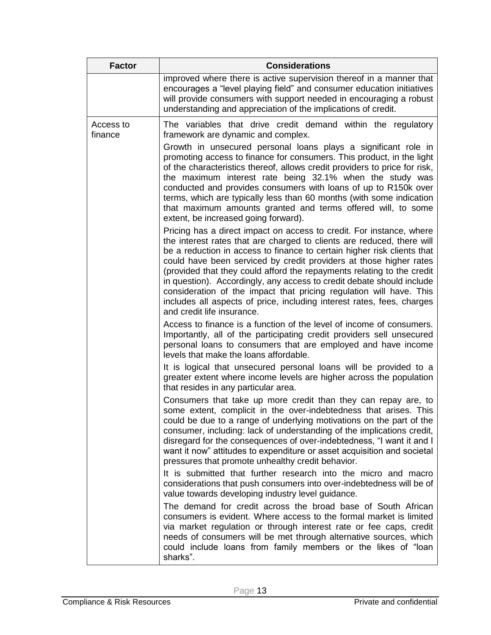| <b>Factor</b>        | <b>Considerations</b>                                                                                                                                                                                                                                                                                                                                                                                                                                                                                                                                                                                                             |
|----------------------|-----------------------------------------------------------------------------------------------------------------------------------------------------------------------------------------------------------------------------------------------------------------------------------------------------------------------------------------------------------------------------------------------------------------------------------------------------------------------------------------------------------------------------------------------------------------------------------------------------------------------------------|
|                      | improved where there is active supervision thereof in a manner that<br>encourages a "level playing field" and consumer education initiatives<br>will provide consumers with support needed in encouraging a robust<br>understanding and appreciation of the implications of credit.                                                                                                                                                                                                                                                                                                                                               |
| Access to<br>finance | The variables that drive credit demand within the regulatory<br>framework are dynamic and complex.                                                                                                                                                                                                                                                                                                                                                                                                                                                                                                                                |
|                      | Growth in unsecured personal loans plays a significant role in<br>promoting access to finance for consumers. This product, in the light<br>of the characteristics thereof, allows credit providers to price for risk,<br>the maximum interest rate being 32.1% when the study was<br>conducted and provides consumers with loans of up to R150k over<br>terms, which are typically less than 60 months (with some indication<br>that maximum amounts granted and terms offered will, to some<br>extent, be increased going forward).                                                                                              |
|                      | Pricing has a direct impact on access to credit. For instance, where<br>the interest rates that are charged to clients are reduced, there will<br>be a reduction in access to finance to certain higher risk clients that<br>could have been serviced by credit providers at those higher rates<br>(provided that they could afford the repayments relating to the credit<br>in question). Accordingly, any access to credit debate should include<br>consideration of the impact that pricing regulation will have. This<br>includes all aspects of price, including interest rates, fees, charges<br>and credit life insurance. |
|                      | Access to finance is a function of the level of income of consumers.<br>Importantly, all of the participating credit providers sell unsecured<br>personal loans to consumers that are employed and have income<br>levels that make the loans affordable.                                                                                                                                                                                                                                                                                                                                                                          |
|                      | It is logical that unsecured personal loans will be provided to a<br>greater extent where income levels are higher across the population<br>that resides in any particular area.                                                                                                                                                                                                                                                                                                                                                                                                                                                  |
|                      | Consumers that take up more credit than they can repay are, to<br>some extent, complicit in the over-indebtedness that arises. This<br>could be due to a range of underlying motivations on the part of the<br>consumer, including: lack of understanding of the implications credit,<br>disregard for the consequences of over-indebtedness, "I want it and I<br>want it now" attitudes to expenditure or asset acquisition and societal<br>pressures that promote unhealthy credit behavior.                                                                                                                                    |
|                      | It is submitted that further research into the micro and macro<br>considerations that push consumers into over-indebtedness will be of<br>value towards developing industry level guidance.                                                                                                                                                                                                                                                                                                                                                                                                                                       |
|                      | The demand for credit across the broad base of South African<br>consumers is evident. Where access to the formal market is limited<br>via market regulation or through interest rate or fee caps, credit<br>needs of consumers will be met through alternative sources, which<br>could include loans from family members or the likes of "loan<br>sharks".                                                                                                                                                                                                                                                                        |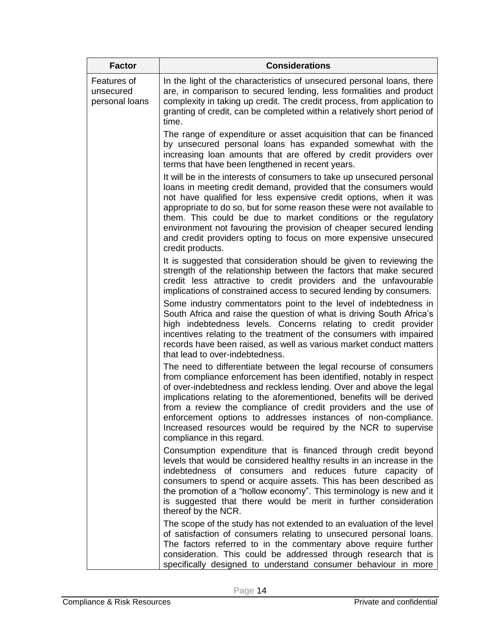| <b>Factor</b>                              | <b>Considerations</b>                                                                                                                                                                                                                                                                                                                                                                                                                                                                                                       |
|--------------------------------------------|-----------------------------------------------------------------------------------------------------------------------------------------------------------------------------------------------------------------------------------------------------------------------------------------------------------------------------------------------------------------------------------------------------------------------------------------------------------------------------------------------------------------------------|
| Features of<br>unsecured<br>personal loans | In the light of the characteristics of unsecured personal loans, there<br>are, in comparison to secured lending, less formalities and product<br>complexity in taking up credit. The credit process, from application to<br>granting of credit, can be completed within a relatively short period of<br>time.                                                                                                                                                                                                               |
|                                            | The range of expenditure or asset acquisition that can be financed<br>by unsecured personal loans has expanded somewhat with the<br>increasing loan amounts that are offered by credit providers over<br>terms that have been lengthened in recent years.                                                                                                                                                                                                                                                                   |
|                                            | It will be in the interests of consumers to take up unsecured personal<br>loans in meeting credit demand, provided that the consumers would<br>not have qualified for less expensive credit options, when it was<br>appropriate to do so, but for some reason these were not available to<br>them. This could be due to market conditions or the regulatory<br>environment not favouring the provision of cheaper secured lending<br>and credit providers opting to focus on more expensive unsecured<br>credit products.   |
|                                            | It is suggested that consideration should be given to reviewing the<br>strength of the relationship between the factors that make secured<br>credit less attractive to credit providers and the unfavourable<br>implications of constrained access to secured lending by consumers.                                                                                                                                                                                                                                         |
|                                            | Some industry commentators point to the level of indebtedness in<br>South Africa and raise the question of what is driving South Africa's<br>high indebtedness levels. Concerns relating to credit provider<br>incentives relating to the treatment of the consumers with impaired<br>records have been raised, as well as various market conduct matters<br>that lead to over-indebtedness.                                                                                                                                |
|                                            | The need to differentiate between the legal recourse of consumers<br>from compliance enforcement has been identified, notably in respect<br>of over-indebtedness and reckless lending. Over and above the legal<br>implications relating to the aforementioned, benefits will be derived<br>from a review the compliance of credit providers and the use of<br>enforcement options to addresses instances of non-compliance.<br>Increased resources would be required by the NCR to supervise<br>compliance in this regard. |
|                                            | Consumption expenditure that is financed through credit beyond<br>levels that would be considered healthy results in an increase in the<br>indebtedness of consumers and reduces future capacity of<br>consumers to spend or acquire assets. This has been described as<br>the promotion of a "hollow economy". This terminology is new and it<br>is suggested that there would be merit in further consideration<br>thereof by the NCR.                                                                                    |
|                                            | The scope of the study has not extended to an evaluation of the level<br>of satisfaction of consumers relating to unsecured personal loans.<br>The factors referred to in the commentary above require further<br>consideration. This could be addressed through research that is<br>specifically designed to understand consumer behaviour in more                                                                                                                                                                         |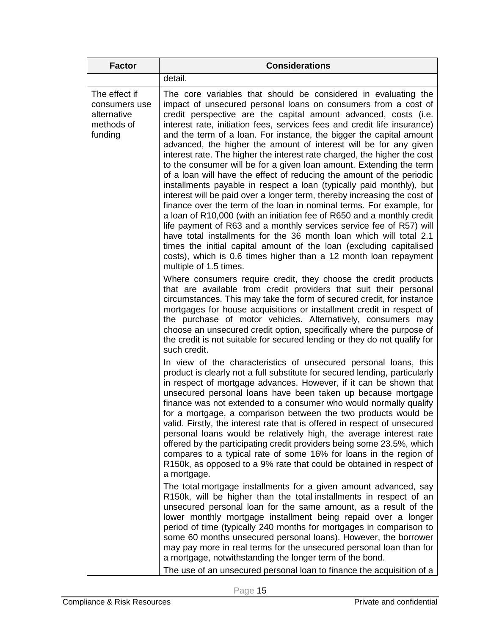| <b>Factor</b>                                                          | <b>Considerations</b>                                                                                                                                                                                                                                                                                                                                                                                                                                                                                                                                                                                                                                                                                                                                                                                                                                                                                                                                                                                                                                                                                                                                                                                                                                                           |
|------------------------------------------------------------------------|---------------------------------------------------------------------------------------------------------------------------------------------------------------------------------------------------------------------------------------------------------------------------------------------------------------------------------------------------------------------------------------------------------------------------------------------------------------------------------------------------------------------------------------------------------------------------------------------------------------------------------------------------------------------------------------------------------------------------------------------------------------------------------------------------------------------------------------------------------------------------------------------------------------------------------------------------------------------------------------------------------------------------------------------------------------------------------------------------------------------------------------------------------------------------------------------------------------------------------------------------------------------------------|
|                                                                        | detail.                                                                                                                                                                                                                                                                                                                                                                                                                                                                                                                                                                                                                                                                                                                                                                                                                                                                                                                                                                                                                                                                                                                                                                                                                                                                         |
| The effect if<br>consumers use<br>alternative<br>methods of<br>funding | The core variables that should be considered in evaluating the<br>impact of unsecured personal loans on consumers from a cost of<br>credit perspective are the capital amount advanced, costs (i.e.<br>interest rate, initiation fees, services fees and credit life insurance)<br>and the term of a loan. For instance, the bigger the capital amount<br>advanced, the higher the amount of interest will be for any given<br>interest rate. The higher the interest rate charged, the higher the cost<br>to the consumer will be for a given loan amount. Extending the term<br>of a loan will have the effect of reducing the amount of the periodic<br>installments payable in respect a loan (typically paid monthly), but<br>interest will be paid over a longer term, thereby increasing the cost of<br>finance over the term of the loan in nominal terms. For example, for<br>a loan of R10,000 (with an initiation fee of R650 and a monthly credit<br>life payment of R63 and a monthly services service fee of R57) will<br>have total installments for the 36 month loan which will total 2.1<br>times the initial capital amount of the loan (excluding capitalised<br>costs), which is 0.6 times higher than a 12 month loan repayment<br>multiple of 1.5 times. |
|                                                                        | Where consumers require credit, they choose the credit products<br>that are available from credit providers that suit their personal<br>circumstances. This may take the form of secured credit, for instance<br>mortgages for house acquisitions or installment credit in respect of<br>the purchase of motor vehicles. Alternatively, consumers may<br>choose an unsecured credit option, specifically where the purpose of<br>the credit is not suitable for secured lending or they do not qualify for<br>such credit.                                                                                                                                                                                                                                                                                                                                                                                                                                                                                                                                                                                                                                                                                                                                                      |
|                                                                        | In view of the characteristics of unsecured personal loans, this<br>product is clearly not a full substitute for secured lending, particularly<br>in respect of mortgage advances. However, if it can be shown that<br>unsecured personal loans have been taken up because mortgage<br>finance was not extended to a consumer who would normally qualify<br>for a mortgage, a comparison between the two products would be<br>valid. Firstly, the interest rate that is offered in respect of unsecured<br>personal loans would be relatively high, the average interest rate<br>offered by the participating credit providers being some 23.5%, which<br>compares to a typical rate of some 16% for loans in the region of<br>R150k, as opposed to a 9% rate that could be obtained in respect of<br>a mortgage.                                                                                                                                                                                                                                                                                                                                                                                                                                                               |
|                                                                        | The total mortgage installments for a given amount advanced, say<br>R150k, will be higher than the total installments in respect of an<br>unsecured personal loan for the same amount, as a result of the<br>lower monthly mortgage installment being repaid over a longer<br>period of time (typically 240 months for mortgages in comparison to<br>some 60 months unsecured personal loans). However, the borrower<br>may pay more in real terms for the unsecured personal loan than for<br>a mortgage, notwithstanding the longer term of the bond.<br>The use of an unsecured personal loan to finance the acquisition of a                                                                                                                                                                                                                                                                                                                                                                                                                                                                                                                                                                                                                                                |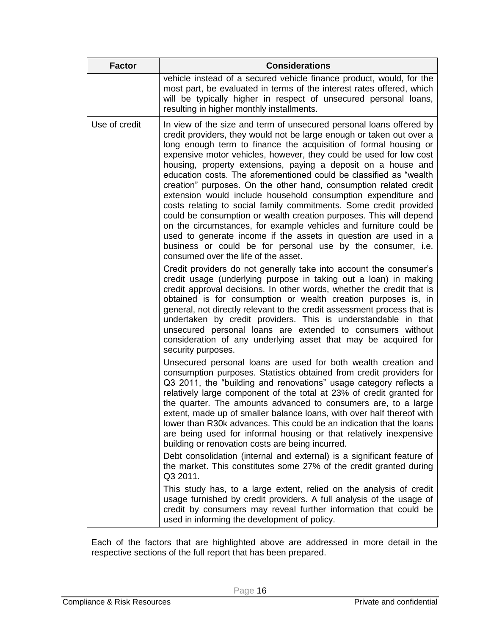| <b>Factor</b> | <b>Considerations</b>                                                                                                                                                                                                                                                                                                                                                                                                                                                                                                                                                                                                                                                                                                                                                                                                                                                                                                                                                                                                                                                                                                                                                                                                                                                                                                                                                                                                                                                                                                                                |
|---------------|------------------------------------------------------------------------------------------------------------------------------------------------------------------------------------------------------------------------------------------------------------------------------------------------------------------------------------------------------------------------------------------------------------------------------------------------------------------------------------------------------------------------------------------------------------------------------------------------------------------------------------------------------------------------------------------------------------------------------------------------------------------------------------------------------------------------------------------------------------------------------------------------------------------------------------------------------------------------------------------------------------------------------------------------------------------------------------------------------------------------------------------------------------------------------------------------------------------------------------------------------------------------------------------------------------------------------------------------------------------------------------------------------------------------------------------------------------------------------------------------------------------------------------------------------|
|               | vehicle instead of a secured vehicle finance product, would, for the<br>most part, be evaluated in terms of the interest rates offered, which<br>will be typically higher in respect of unsecured personal loans,<br>resulting in higher monthly installments.                                                                                                                                                                                                                                                                                                                                                                                                                                                                                                                                                                                                                                                                                                                                                                                                                                                                                                                                                                                                                                                                                                                                                                                                                                                                                       |
| Use of credit | In view of the size and term of unsecured personal loans offered by<br>credit providers, they would not be large enough or taken out over a<br>long enough term to finance the acquisition of formal housing or<br>expensive motor vehicles, however, they could be used for low cost<br>housing, property extensions, paying a deposit on a house and<br>education costs. The aforementioned could be classified as "wealth<br>creation" purposes. On the other hand, consumption related credit<br>extension would include household consumption expenditure and<br>costs relating to social family commitments. Some credit provided<br>could be consumption or wealth creation purposes. This will depend<br>on the circumstances, for example vehicles and furniture could be<br>used to generate income if the assets in question are used in a<br>business or could be for personal use by the consumer, i.e.<br>consumed over the life of the asset.<br>Credit providers do not generally take into account the consumer's<br>credit usage (underlying purpose in taking out a loan) in making<br>credit approval decisions. In other words, whether the credit that is<br>obtained is for consumption or wealth creation purposes is, in<br>general, not directly relevant to the credit assessment process that is<br>undertaken by credit providers. This is understandable in that<br>unsecured personal loans are extended to consumers without<br>consideration of any underlying asset that may be acquired for<br>security purposes. |
|               | Unsecured personal loans are used for both wealth creation and<br>consumption purposes. Statistics obtained from credit providers for<br>Q3 2011, the "building and renovations" usage category reflects a<br>relatively large component of the total at 23% of credit granted for<br>the quarter. The amounts advanced to consumers are, to a large<br>extent, made up of smaller balance loans, with over half thereof with<br>lower than R30k advances. This could be an indication that the loans<br>are being used for informal housing or that relatively inexpensive<br>building or renovation costs are being incurred.<br>Debt consolidation (internal and external) is a significant feature of<br>the market. This constitutes some 27% of the credit granted during<br>Q3 2011.<br>This study has, to a large extent, relied on the analysis of credit<br>usage furnished by credit providers. A full analysis of the usage of<br>credit by consumers may reveal further information that could be<br>used in informing the development of policy.                                                                                                                                                                                                                                                                                                                                                                                                                                                                                       |

Each of the factors that are highlighted above are addressed in more detail in the respective sections of the full report that has been prepared.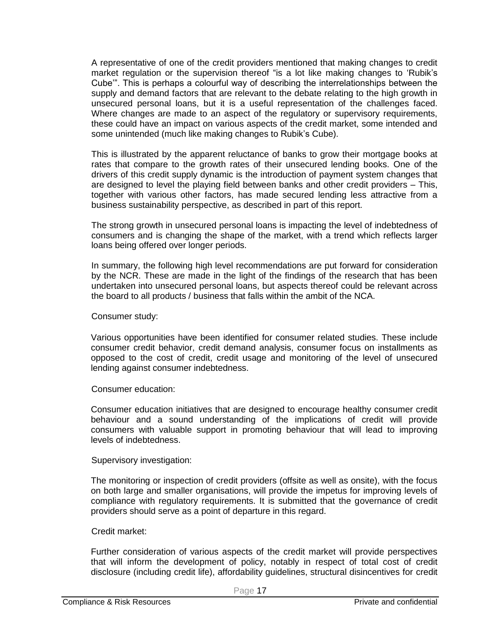A representative of one of the credit providers mentioned that making changes to credit market regulation or the supervision thereof "is a lot like making changes to 'Rubik's Cube'". This is perhaps a colourful way of describing the interrelationships between the supply and demand factors that are relevant to the debate relating to the high growth in unsecured personal loans, but it is a useful representation of the challenges faced. Where changes are made to an aspect of the regulatory or supervisory requirements, these could have an impact on various aspects of the credit market, some intended and some unintended (much like making changes to Rubik's Cube).

This is illustrated by the apparent reluctance of banks to grow their mortgage books at rates that compare to the growth rates of their unsecured lending books. One of the drivers of this credit supply dynamic is the introduction of payment system changes that are designed to level the playing field between banks and other credit providers – This, together with various other factors, has made secured lending less attractive from a business sustainability perspective, as described in part of this report.

The strong growth in unsecured personal loans is impacting the level of indebtedness of consumers and is changing the shape of the market, with a trend which reflects larger loans being offered over longer periods.

In summary, the following high level recommendations are put forward for consideration by the NCR. These are made in the light of the findings of the research that has been undertaken into unsecured personal loans, but aspects thereof could be relevant across the board to all products / business that falls within the ambit of the NCA.

Consumer study:

Various opportunities have been identified for consumer related studies. These include consumer credit behavior, credit demand analysis, consumer focus on installments as opposed to the cost of credit, credit usage and monitoring of the level of unsecured lending against consumer indebtedness.

Consumer education:

Consumer education initiatives that are designed to encourage healthy consumer credit behaviour and a sound understanding of the implications of credit will provide consumers with valuable support in promoting behaviour that will lead to improving levels of indebtedness.

Supervisory investigation:

The monitoring or inspection of credit providers (offsite as well as onsite), with the focus on both large and smaller organisations, will provide the impetus for improving levels of compliance with regulatory requirements. It is submitted that the governance of credit providers should serve as a point of departure in this regard.

#### Credit market:

Further consideration of various aspects of the credit market will provide perspectives that will inform the development of policy, notably in respect of total cost of credit disclosure (including credit life), affordability guidelines, structural disincentives for credit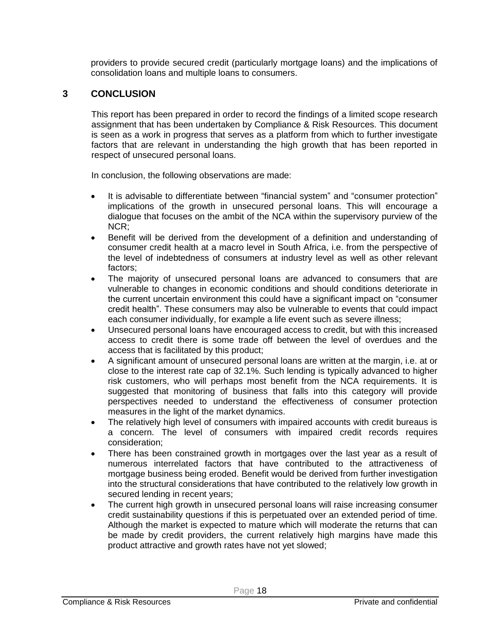providers to provide secured credit (particularly mortgage loans) and the implications of consolidation loans and multiple loans to consumers.

#### **3 CONCLUSION**

This report has been prepared in order to record the findings of a limited scope research assignment that has been undertaken by Compliance & Risk Resources. This document is seen as a work in progress that serves as a platform from which to further investigate factors that are relevant in understanding the high growth that has been reported in respect of unsecured personal loans.

In conclusion, the following observations are made:

- It is advisable to differentiate between "financial system" and "consumer protection" implications of the growth in unsecured personal loans. This will encourage a dialogue that focuses on the ambit of the NCA within the supervisory purview of the NCR;
- Benefit will be derived from the development of a definition and understanding of consumer credit health at a macro level in South Africa, i.e. from the perspective of the level of indebtedness of consumers at industry level as well as other relevant factors;
- The majority of unsecured personal loans are advanced to consumers that are vulnerable to changes in economic conditions and should conditions deteriorate in the current uncertain environment this could have a significant impact on "consumer credit health". These consumers may also be vulnerable to events that could impact each consumer individually, for example a life event such as severe illness;
- Unsecured personal loans have encouraged access to credit, but with this increased access to credit there is some trade off between the level of overdues and the access that is facilitated by this product;
- A significant amount of unsecured personal loans are written at the margin, i.e. at or close to the interest rate cap of 32.1%. Such lending is typically advanced to higher risk customers, who will perhaps most benefit from the NCA requirements. It is suggested that monitoring of business that falls into this category will provide perspectives needed to understand the effectiveness of consumer protection measures in the light of the market dynamics.
- The relatively high level of consumers with impaired accounts with credit bureaus is a concern. The level of consumers with impaired credit records requires consideration;
- There has been constrained growth in mortgages over the last year as a result of numerous interrelated factors that have contributed to the attractiveness of mortgage business being eroded. Benefit would be derived from further investigation into the structural considerations that have contributed to the relatively low growth in secured lending in recent years;
- The current high growth in unsecured personal loans will raise increasing consumer credit sustainability questions if this is perpetuated over an extended period of time. Although the market is expected to mature which will moderate the returns that can be made by credit providers, the current relatively high margins have made this product attractive and growth rates have not yet slowed;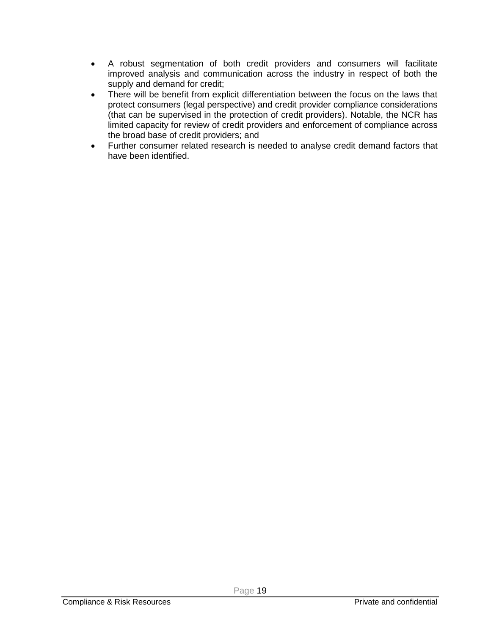- A robust segmentation of both credit providers and consumers will facilitate improved analysis and communication across the industry in respect of both the supply and demand for credit;
- There will be benefit from explicit differentiation between the focus on the laws that protect consumers (legal perspective) and credit provider compliance considerations (that can be supervised in the protection of credit providers). Notable, the NCR has limited capacity for review of credit providers and enforcement of compliance across the broad base of credit providers; and
- Further consumer related research is needed to analyse credit demand factors that have been identified.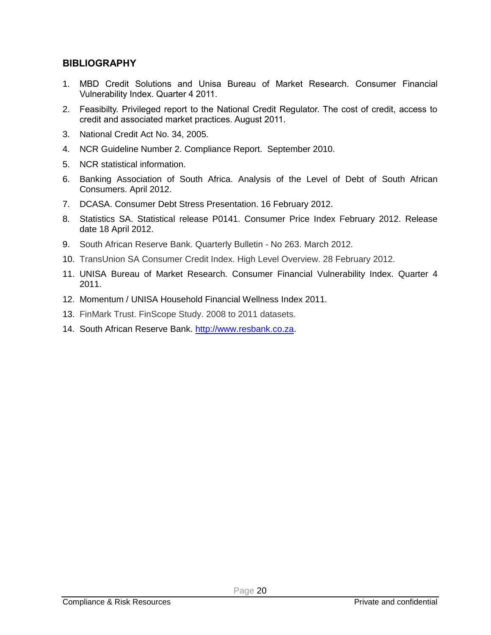#### **BIBLIOGRAPHY**

- 1. MBD Credit Solutions and Unisa Bureau of Market Research. Consumer Financial Vulnerability Index. Quarter 4 2011.
- 2. Feasibilty. Privileged report to the National Credit Regulator. The cost of credit, access to credit and associated market practices. August 2011.
- 3. National Credit Act No. 34, 2005.
- 4. NCR Guideline Number 2. Compliance Report. September 2010.
- 5. NCR statistical information.
- 6. Banking Association of South Africa. Analysis of the Level of Debt of South African Consumers. April 2012.
- 7. DCASA. Consumer Debt Stress Presentation. 16 February 2012.
- 8. Statistics SA. Statistical release P0141. Consumer Price Index February 2012. Release date 18 April 2012.
- 9. South African Reserve Bank. Quarterly Bulletin No 263. March 2012.
- 10. TransUnion SA Consumer Credit Index. High Level Overview. 28 February 2012.
- 11. UNISA Bureau of Market Research. Consumer Financial Vulnerability Index. Quarter 4 2011.
- 12. Momentum / UNISA Household Financial Wellness Index 2011.
- 13. FinMark Trust. FinScope Study. 2008 to 2011 datasets.
- 14. South African Reserve Bank. [http://www.resbank.co.za.](http://www.resbank.co.za/)